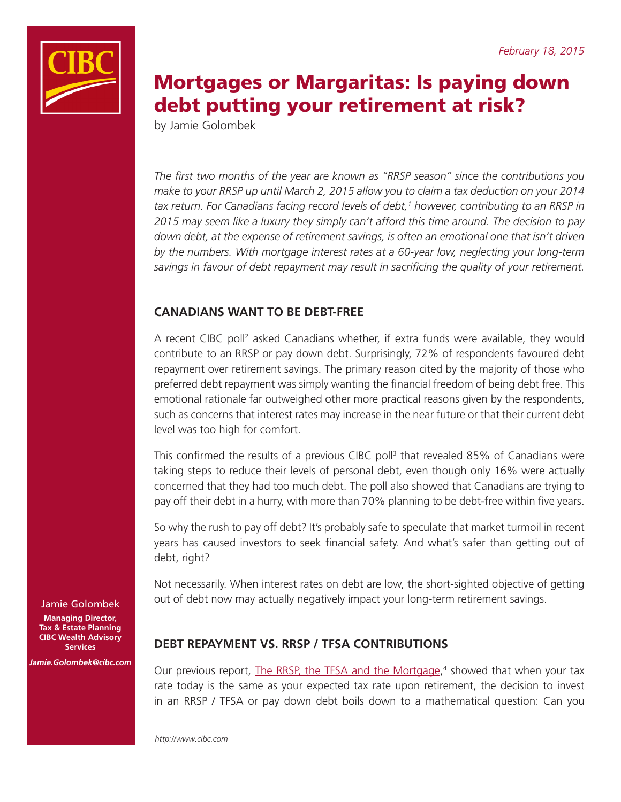

# Mortgages or Margaritas: Is paying down debt putting your retirement at risk?

by Jamie Golombek

*The first two months of the year are known as "RRSP season" since the contributions you make to your RRSP up until March 2, 2015 allow you to claim a tax deduction on your 2014*  tax return. For Canadians facing record levels of debt,<sup>1</sup> however, contributing to an RRSP in *2015 may seem like a luxury they simply can't afford this time around. The decision to pay down debt, at the expense of retirement savings, is often an emotional one that isn't driven by the numbers. With mortgage interest rates at a 60-year low, neglecting your long-term savings in favour of debt repayment may result in sacrificing the quality of your retirement.*

# **CANADIANS WANT TO BE DEBT-FREE**

A recent CIBC poll<sup>2</sup> asked Canadians whether, if extra funds were available, they would contribute to an RRSP or pay down debt. Surprisingly, 72% of respondents favoured debt repayment over retirement savings. The primary reason cited by the majority of those who preferred debt repayment was simply wanting the financial freedom of being debt free. This emotional rationale far outweighed other more practical reasons given by the respondents, such as concerns that interest rates may increase in the near future or that their current debt level was too high for comfort.

This confirmed the results of a previous CIBC poll<sup>3</sup> that revealed 85% of Canadians were taking steps to reduce their levels of personal debt, even though only 16% were actually concerned that they had too much debt. The poll also showed that Canadians are trying to pay off their debt in a hurry, with more than 70% planning to be debt-free within five years.

So why the rush to pay off debt? It's probably safe to speculate that market turmoil in recent years has caused investors to seek financial safety. And what's safer than getting out of debt, right?

Not necessarily. When interest rates on debt are low, the short-sighted objective of getting out of debt now may actually negatively impact your long-term retirement savings.

# **DEBT REPAYMENT VS. RRSP / TFSA CONTRIBUTIONS**

Our previous report, [The RRSP, the TFSA and the Mortgage](https://www.cibc.com/ca/pdf/advice-centre/rrsp-tfsa-mortgage-en.pdf),<sup>4</sup> showed that when your tax rate today is the same as your expected tax rate upon retirement, the decision to invest in an RRSP / TFSA or pay down debt boils down to a mathematical question: Can you

Jamie Golombek

**Managing Director, Tax & Estate Planning CIBC Wealth Advisory Services**

*Jamie.Golombek@cibc.com*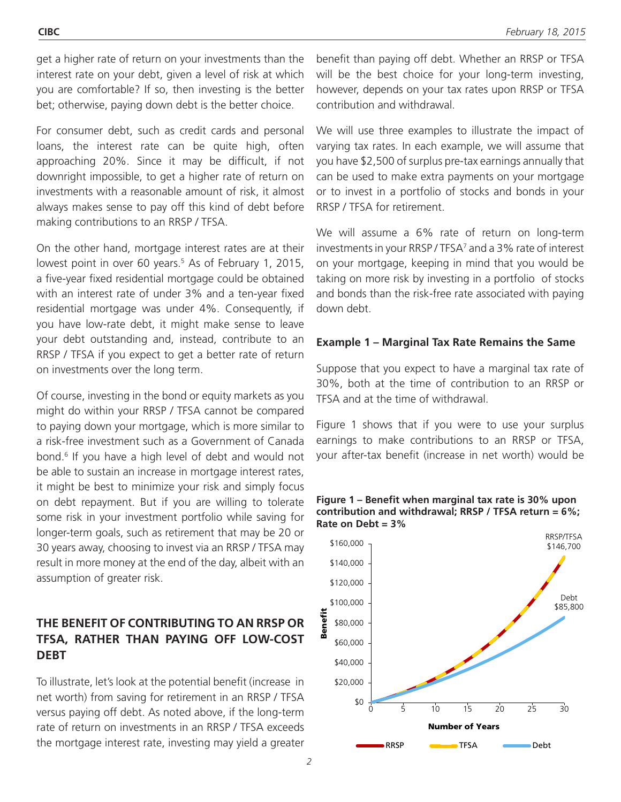get a higher rate of return on your investments than the interest rate on your debt, given a level of risk at which you are comfortable? If so, then investing is the better bet; otherwise, paying down debt is the better choice.

For consumer debt, such as credit cards and personal loans, the interest rate can be quite high, often approaching 20%. Since it may be difficult, if not downright impossible, to get a higher rate of return on investments with a reasonable amount of risk, it almost always makes sense to pay off this kind of debt before making contributions to an RRSP / TFSA.

On the other hand, mortgage interest rates are at their lowest point in over 60 years.<sup>5</sup> As of February 1, 2015, a five-year fixed residential mortgage could be obtained with an interest rate of under 3% and a ten-year fixed residential mortgage was under 4%. Consequently, if you have low-rate debt, it might make sense to leave your debt outstanding and, instead, contribute to an RRSP / TFSA if you expect to get a better rate of return on investments over the long term.

Of course, investing in the bond or equity markets as you might do within your RRSP / TFSA cannot be compared to paying down your mortgage, which is more similar to a risk-free investment such as a Government of Canada bond.6 If you have a high level of debt and would not be able to sustain an increase in mortgage interest rates, it might be best to minimize your risk and simply focus on debt repayment. But if you are willing to tolerate some risk in your investment portfolio while saving for longer-term goals, such as retirement that may be 20 or 30 years away, choosing to invest via an RRSP / TFSA may result in more money at the end of the day, albeit with an assumption of greater risk.

# **THE BENEFIT OF CONTRIBUTING TO AN RRSP OR TFSA, RATHER THAN PAYING OFF LOW-COST DEBT**

To illustrate, let's look at the potential benefit (increase in net worth) from saving for retirement in an RRSP / TFSA versus paying off debt. As noted above, if the long-term rate of return on investments in an RRSP / TFSA exceeds the mortgage interest rate, investing may yield a greater

benefit than paying off debt. Whether an RRSP or TFSA will be the best choice for your long-term investing, however, depends on your tax rates upon RRSP or TFSA contribution and withdrawal.

We will use three examples to illustrate the impact of varying tax rates. In each example, we will assume that you have \$2,500 of surplus pre-tax earnings annually that can be used to make extra payments on your mortgage or to invest in a portfolio of stocks and bonds in your RRSP / TFSA for retirement.

We will assume a 6% rate of return on long-term investments in your RRSP / TFSA<sup>7</sup> and a 3% rate of interest on your mortgage, keeping in mind that you would be taking on more risk by investing in a portfolio of stocks and bonds than the risk-free rate associated with paying down debt.

### **Example 1 – Marginal Tax Rate Remains the Same**

Suppose that you expect to have a marginal tax rate of 30%, both at the time of contribution to an RRSP or TFSA and at the time of withdrawal.

Figure 1 shows that if you were to use your surplus earnings to make contributions to an RRSP or TFSA, your after-tax benefit (increase in net worth) would be



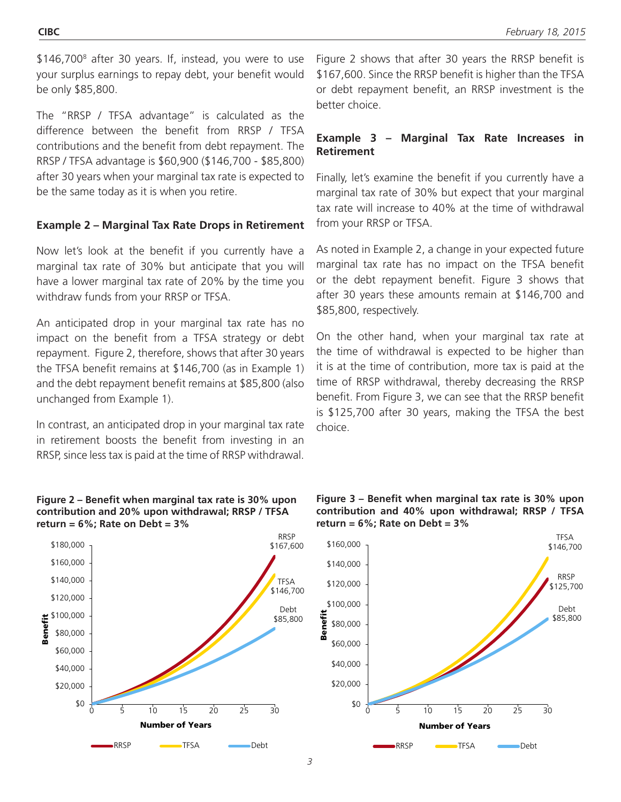\$146,700<sup>8</sup> after 30 years. If, instead, you were to use your surplus earnings to repay debt, your benefit would be only \$85,800.

The "RRSP / TFSA advantage" is calculated as the difference between the benefit from RRSP / TFSA contributions and the benefit from debt repayment. The RRSP / TFSA advantage is \$60,900 (\$146,700 - \$85,800) after 30 years when your marginal tax rate is expected to be the same today as it is when you retire.

# **Example 2 – Marginal Tax Rate Drops in Retirement**

Now let's look at the benefit if you currently have a marginal tax rate of 30% but anticipate that you will have a lower marginal tax rate of 20% by the time you withdraw funds from your RRSP or TFSA.

An anticipated drop in your marginal tax rate has no impact on the benefit from a TFSA strategy or debt repayment. Figure 2, therefore, shows that after 30 years the TFSA benefit remains at \$146,700 (as in Example 1) and the debt repayment benefit remains at \$85,800 (also unchanged from Example 1).

In contrast, an anticipated drop in your marginal tax rate in retirement boosts the benefit from investing in an RRSP, since less tax is paid at the time of RRSP withdrawal.

#### **Figure 2 – Benefit when marginal tax rate is 30% upon contribution and 20% upon withdrawal; RRSP / TFSA return = 6%; Rate on Debt = 3%**

Figure 2 shows that after 30 years the RRSP benefit is \$167,600. Since the RRSP benefit is higher than the TFSA or debt repayment benefit, an RRSP investment is the better choice.

# **Example 3 – Marginal Tax Rate Increases in Retirement**

Finally, let's examine the benefit if you currently have a marginal tax rate of 30% but expect that your marginal tax rate will increase to 40% at the time of withdrawal from your RRSP or TFSA.

As noted in Example 2, a change in your expected future marginal tax rate has no impact on the TFSA benefit or the debt repayment benefit. Figure 3 shows that after 30 years these amounts remain at \$146,700 and \$85,800, respectively.

On the other hand, when your marginal tax rate at the time of withdrawal is expected to be higher than it is at the time of contribution, more tax is paid at the time of RRSP withdrawal, thereby decreasing the RRSP benefit. From Figure 3, we can see that the RRSP benefit is \$125,700 after 30 years, making the TFSA the best choice.